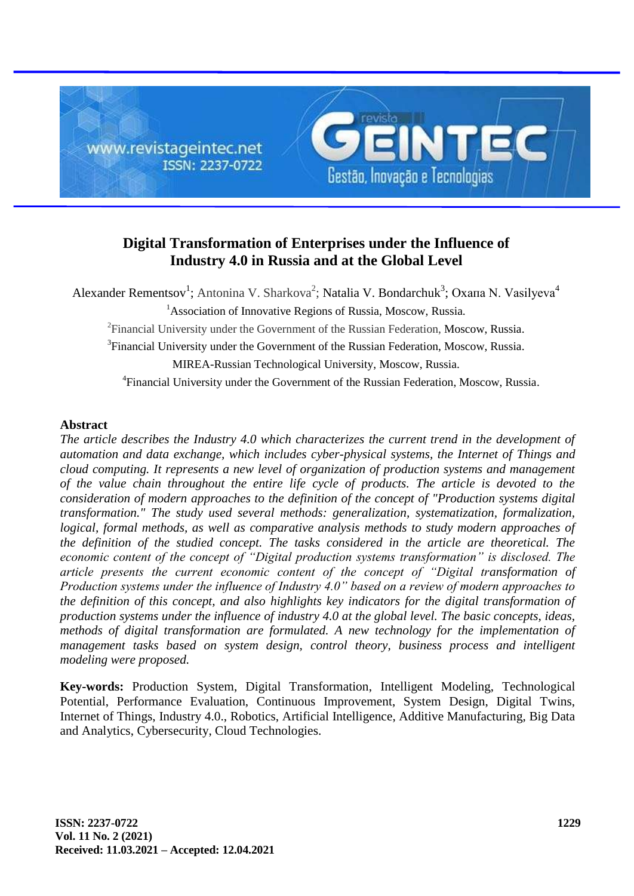

# **Digital Transformation of Enterprises under the Influence of Industry 4.0 in Russia and at the Global Level**

Alexander Rementsov<sup>1</sup>; Antonina V. Sharkova<sup>2</sup>; Natalia V. Bondarchuk<sup>3</sup>; Охапа N. Vasilyeva<sup>4</sup> <sup>1</sup>Association of Innovative Regions of Russia, Moscow, Russia. <sup>2</sup> Financial University under the Government of the Russian Federation, Moscow, Russia. <sup>3</sup>Financial University under the Government of the Russian Federation, Moscow, Russia. MIREA-Russian Technological University, Moscow, Russia.

4 Financial University under the Government of the Russian Federation, Moscow, Russia.

### **Abstract**

*The article describes the Industry 4.0 which characterizes the current trend in the development of automation and data exchange, which includes cyber-physical systems, the Internet of Things and cloud computing. It represents a new level of organization of production systems and management of the value chain throughout the entire life cycle of products. The article is devoted to the consideration of modern approaches to the definition of the concept of "Production systems digital transformation." The study used several methods: generalization, systematization, formalization, logical, formal methods, as well as comparative analysis methods to study modern approaches of the definition of the studied concept. The tasks considered in the article are theoretical. The economic content of the concept of "Digital production systems transformation" is disclosed. The article presents the current economic content of the concept of "Digital transformation of Production systems under the influence of Industry 4.0" based on a review of modern approaches to the definition of this concept, and also highlights key indicators for the digital transformation of production systems under the influence of industry 4.0 at the global level. The basic concepts, ideas, methods of digital transformation are formulated. A new technology for the implementation of management tasks based on system design, control theory, business process and intelligent modeling were proposed.*

**Key-words:** Production System, Digital Transformation, Intelligent Modeling, Technological Potential, Performance Evaluation, Continuous Improvement, System Design, Digital Twins, Internet of Things, Industry 4.0., Robotics, Artificial Intelligence, Additive Manufacturing, Big Data and Analytics, Cybersecurity, Cloud Technologies.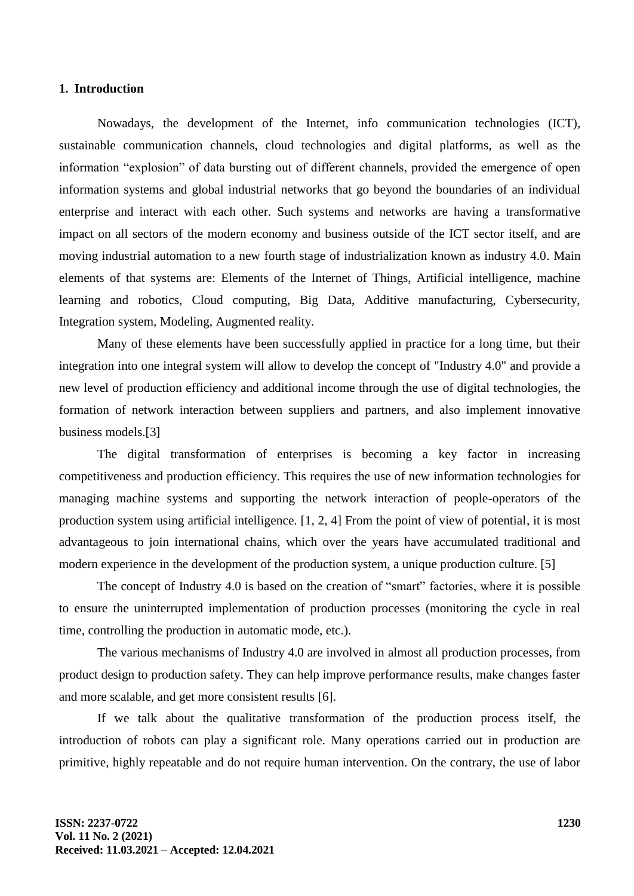### **1. Introduction**

Nowadays, the development of the Internet, info communication technologies (ICT), sustainable communication channels, cloud technologies and digital platforms, as well as the information "explosion" of data bursting out of different channels, provided the emergence of open information systems and global industrial networks that go beyond the boundaries of an individual enterprise and interact with each other. Such systems and networks are having a transformative impact on all sectors of the modern economy and business outside of the ICT sector itself, and are moving industrial automation to a new fourth stage of industrialization known as industry 4.0. Main elements of that systems are: Elements of the Internet of Things, Artificial intelligence, machine learning and robotics, Cloud computing, Big Data, Additive manufacturing, Cybersecurity, Integration system, Modeling, Augmented reality.

Many of these elements have been successfully applied in practice for a long time, but their integration into one integral system will allow to develop the concept of "Industry 4.0" and provide a new level of production efficiency and additional income through the use of digital technologies, the formation of network interaction between suppliers and partners, and also implement innovative business models.[3]

The digital transformation of enterprises is becoming a key factor in increasing competitiveness and production efficiency. This requires the use of new information technologies for managing machine systems and supporting the network interaction of people-operators of the production system using artificial intelligence. [1, 2, 4] From the point of view of potential, it is most advantageous to join international chains, which over the years have accumulated traditional and modern experience in the development of the production system, a unique production culture. [5]

The concept of Industry 4.0 is based on the creation of "smart" factories, where it is possible to ensure the uninterrupted implementation of production processes (monitoring the cycle in real time, controlling the production in automatic mode, etc.).

The various mechanisms of Industry 4.0 are involved in almost all production processes, from product design to production safety. They can help improve performance results, make changes faster and more scalable, and get more consistent results [6].

If we talk about the qualitative transformation of the production process itself, the introduction of robots can play a significant role. Many operations carried out in production are primitive, highly repeatable and do not require human intervention. On the contrary, the use of labor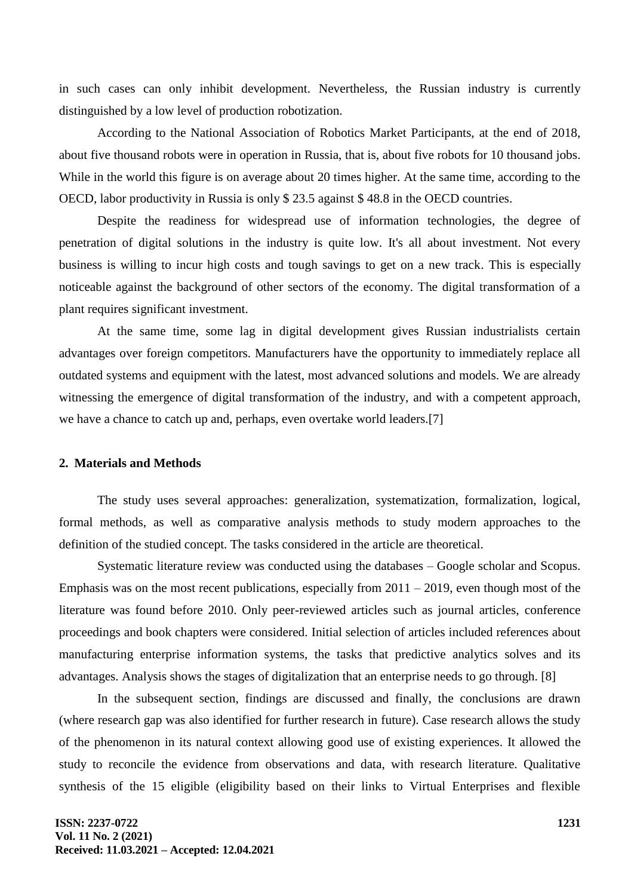in such cases can only inhibit development. Nevertheless, the Russian industry is currently distinguished by a low level of production robotization.

According to the National Association of Robotics Market Participants, at the end of 2018, about five thousand robots were in operation in Russia, that is, about five robots for 10 thousand jobs. While in the world this figure is on average about 20 times higher. At the same time, according to the OECD, labor productivity in Russia is only \$ 23.5 against \$ 48.8 in the OECD countries.

Despite the readiness for widespread use of information technologies, the degree of penetration of digital solutions in the industry is quite low. It's all about investment. Not every business is willing to incur high costs and tough savings to get on a new track. This is especially noticeable against the background of other sectors of the economy. The digital transformation of a plant requires significant investment.

At the same time, some lag in digital development gives Russian industrialists certain advantages over foreign competitors. Manufacturers have the opportunity to immediately replace all outdated systems and equipment with the latest, most advanced solutions and models. We are already witnessing the emergence of digital transformation of the industry, and with a competent approach, we have a chance to catch up and, perhaps, even overtake world leaders.[7]

### **2. Materials and Methods**

The study uses several approaches: generalization, systematization, formalization, logical, formal methods, as well as comparative analysis methods to study modern approaches to the definition of the studied concept. The tasks considered in the article are theoretical.

Systematic literature review was conducted using the databases – Google scholar and Scopus. Emphasis was on the most recent publications, especially from  $2011 - 2019$ , even though most of the literature was found before 2010. Only peer-reviewed articles such as journal articles, conference proceedings and book chapters were considered. Initial selection of articles included references about manufacturing enterprise information systems, the tasks that predictive analytics solves and its advantages. Analysis shows the stages of digitalization that an enterprise needs to go through. [8]

In the subsequent section, findings are discussed and finally, the conclusions are drawn (where research gap was also identified for further research in future). Case research allows the study of the phenomenon in its natural context allowing good use of existing experiences. It allowed the study to reconcile the evidence from observations and data, with research literature. Qualitative synthesis of the 15 eligible (eligibility based on their links to Virtual Enterprises and flexible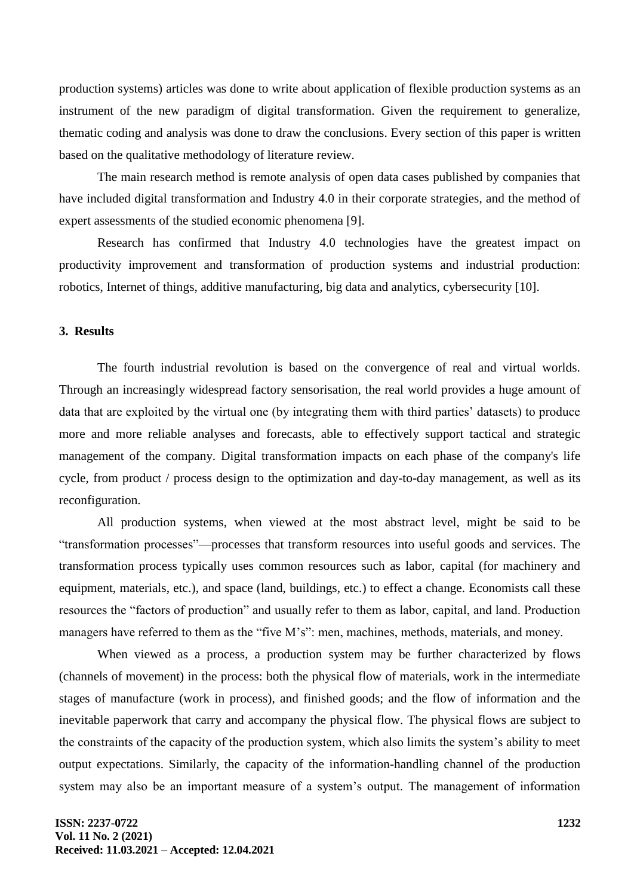production systems) articles was done to write about application of flexible production systems as an instrument of the new paradigm of digital transformation. Given the requirement to generalize, thematic coding and analysis was done to draw the conclusions. Every section of this paper is written based on the qualitative methodology of literature review.

The main research method is remote analysis of open data cases published by companies that have included digital transformation and Industry 4.0 in their corporate strategies, and the method of expert assessments of the studied economic phenomena [9].

Research has confirmed that Industry 4.0 technologies have the greatest impact on productivity improvement and transformation of production systems and industrial production: robotics, Internet of things, additive manufacturing, big data and analytics, cybersecurity [10].

### **3. Results**

The fourth industrial revolution is based on the convergence of real and virtual worlds. Through an increasingly widespread factory sensorisation, the real world provides a huge amount of data that are exploited by the virtual one (by integrating them with third parties' datasets) to produce more and more reliable analyses and forecasts, able to effectively support tactical and strategic management of the company. Digital transformation impacts on each phase of the company's life cycle, from product / process design to the optimization and day-to-day management, as well as its reconfiguration.

All production systems, when viewed at the most abstract level, might be said to be ―transformation processes‖—processes that transform resources into useful goods and services. The transformation process typically uses common resources such as labor, capital (for machinery and equipment, materials, etc.), and space (land, buildings, etc.) to effect a change. Economists call these resources the "factors of production" and usually refer to them as labor, capital, and land. Production managers have referred to them as the "five M's": men, machines, methods, materials, and money.

When viewed as a process, a production system may be further characterized by flows (channels of movement) in the process: both the physical flow of materials, work in the intermediate stages of manufacture (work in process), and finished goods; and the flow of information and the inevitable paperwork that carry and accompany the physical flow. The physical flows are subject to the constraints of the capacity of the production system, which also limits the system's ability to meet output expectations. Similarly, the capacity of the information-handling channel of the production system may also be an important measure of a system's output. The management of information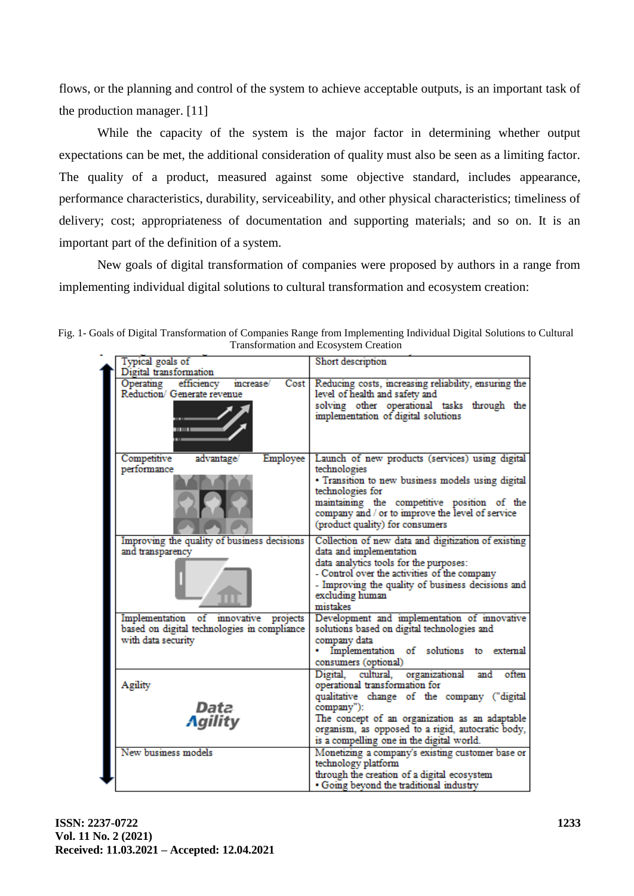flows, or the planning and control of the system to achieve acceptable outputs, is an important task of the production manager. [11]

While the capacity of the system is the major factor in determining whether output expectations can be met, the additional consideration of quality must also be seen as a limiting factor. The quality of a product, measured against some objective standard, includes appearance, performance characteristics, durability, serviceability, and other physical characteristics; timeliness of delivery; cost; appropriateness of documentation and supporting materials; and so on. It is an important part of the definition of a system.

New goals of digital transformation of companies were proposed by authors in a range from implementing individual digital solutions to cultural transformation and ecosystem creation:

|  | Typical goals of<br>Digital transformation                                                                 | Short description                                                                                                                                                                                                                                                                                    |
|--|------------------------------------------------------------------------------------------------------------|------------------------------------------------------------------------------------------------------------------------------------------------------------------------------------------------------------------------------------------------------------------------------------------------------|
|  | Operating efficiency<br>Cost <sub>1</sub><br>increase/<br>Reduction/ Generate revenue<br><b>HEIRE</b>      | Reducing costs, increasing reliability, ensuring the<br>level of health and safety and<br>solving other operational tasks through the<br>implementation of digital solutions                                                                                                                         |
|  | Competitive<br>Employee<br>advantage/<br>performance                                                       | Launch of new products (services) using digital<br>technologies<br>· Transition to new business models using digital<br>technologies for<br>maintaining the competitive position of the<br>company and / or to improve the level of service<br>(product quality) for consumers                       |
|  | Improving the quality of business decisions<br>and transparency                                            | Collection of new data and digitization of existing<br>data and implementation<br>data analytics tools for the purposes:<br>- Control over the activities of the company<br>- Improving the quality of business decisions and<br>excluding human<br>mistakes                                         |
|  | Implementation of innovative projects<br>based on digital technologies in compliance<br>with data security | Development and implementation of innovative<br>solutions based on digital technologies and<br>company data<br>· Implementation of solutions to external<br>consumers (optional)                                                                                                                     |
|  | Agility<br>Data<br><b>Agility</b>                                                                          | Digital, cultural, organizational<br>often<br>and<br>operational transformation for<br>qualitative change of the company ("digital<br>company"):<br>The concept of an organization as an adaptable<br>organism, as opposed to a rigid, autocratic body,<br>is a compelling one in the digital world. |
|  | New business models                                                                                        | Monetizing a company's existing customer base or<br>technology platform<br>through the creation of a digital ecosystem<br>· Going beyond the traditional industry                                                                                                                                    |

Fig. 1- Goals of Digital Transformation of Companies Range from Implementing Individual Digital Solutions to Cultural Transformation and Ecosystem Creation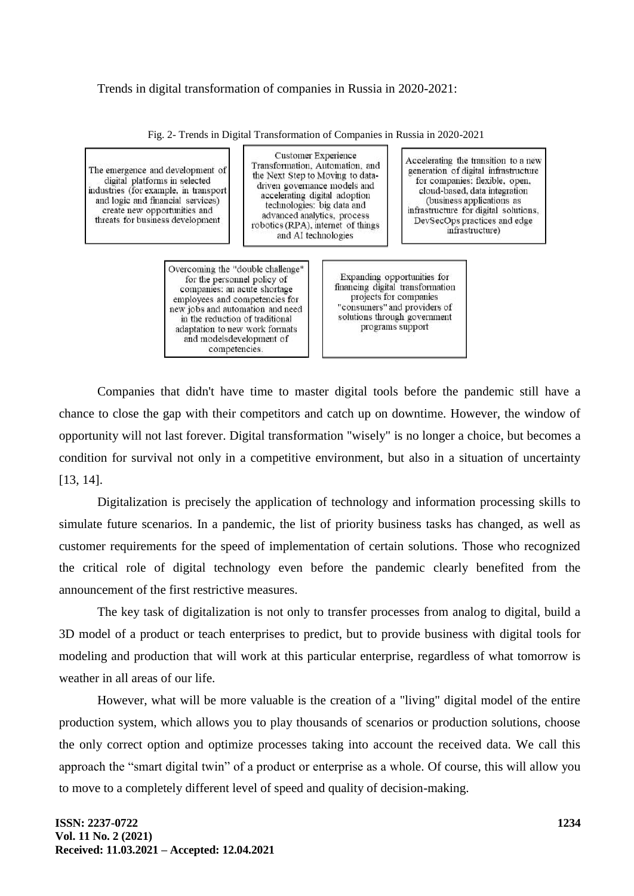# Trends in digital transformation of companies in Russia in 2020-2021:

| The emergence and development of<br>digital platforms in selected<br>industries (for example, in transport<br>and logic and financial services)<br>create new opportunities and<br>threats for business development | Customer Experience<br>Transformation, Automation, and<br>the Next Step to Moving to data-<br>driven governance models and<br>accelerating digital adoption<br>technologies: big data and<br>advanced analytics, process<br>robotics (RPA), internet of things<br>and AI technologies    |  | Accelerating the transition to a new<br>generation of digital infrastructure<br>for companies: flexible, open,<br>cloud-based, data integration<br>(business applications as<br>infrastructure for digital solutions,<br>DevSecOps practices and edge<br>infrastructure) |
|---------------------------------------------------------------------------------------------------------------------------------------------------------------------------------------------------------------------|------------------------------------------------------------------------------------------------------------------------------------------------------------------------------------------------------------------------------------------------------------------------------------------|--|--------------------------------------------------------------------------------------------------------------------------------------------------------------------------------------------------------------------------------------------------------------------------|
|                                                                                                                                                                                                                     | Overcoming the "double challenge"<br>for the personnel policy of<br>companies: an acute shortage<br>employees and competencies for<br>new jobs and automation and need<br>in the reduction of traditional<br>adaptation to new work formats<br>and modelsdevelopment of<br>competencies. |  | Expanding opportunities for<br>financing digital transformation<br>projects for companies<br>"consumers" and providers of<br>solutions through government<br>programs support                                                                                            |

Fig. 2- Trends in Digital Transformation of Companies in Russia in 2020-2021

Companies that didn't have time to master digital tools before the pandemic still have a chance to close the gap with their competitors and catch up on downtime. However, the window of opportunity will not last forever. Digital transformation "wisely" is no longer a choice, but becomes a condition for survival not only in a competitive environment, but also in a situation of uncertainty [13, 14].

Digitalization is precisely the application of technology and information processing skills to simulate future scenarios. In a pandemic, the list of priority business tasks has changed, as well as customer requirements for the speed of implementation of certain solutions. Those who recognized the critical role of digital technology even before the pandemic clearly benefited from the announcement of the first restrictive measures.

The key task of digitalization is not only to transfer processes from analog to digital, build a 3D model of a product or teach enterprises to predict, but to provide business with digital tools for modeling and production that will work at this particular enterprise, regardless of what tomorrow is weather in all areas of our life.

However, what will be more valuable is the creation of a "living" digital model of the entire production system, which allows you to play thousands of scenarios or production solutions, choose the only correct option and optimize processes taking into account the received data. We call this approach the "smart digital twin" of a product or enterprise as a whole. Of course, this will allow you to move to a completely different level of speed and quality of decision-making.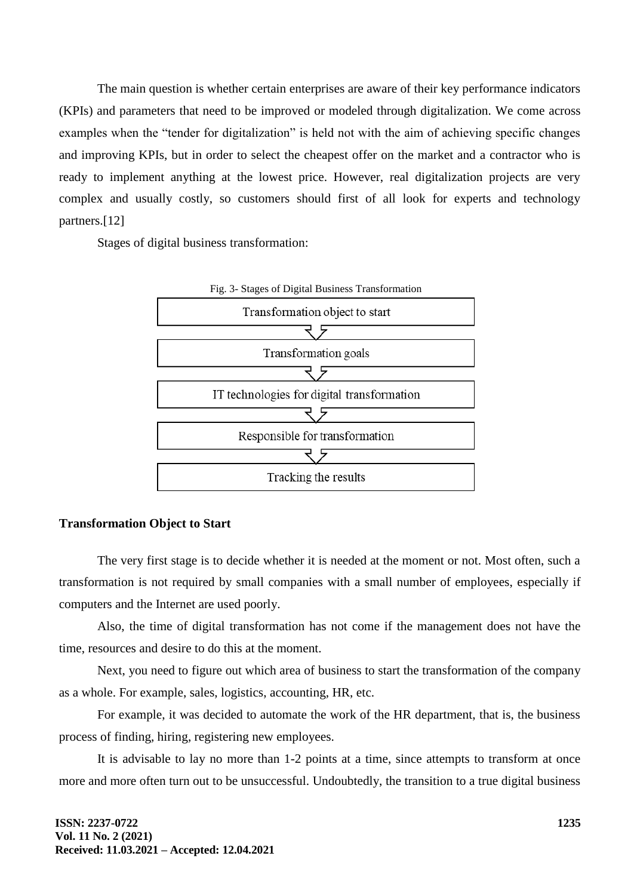The main question is whether certain enterprises are aware of their key performance indicators (KPIs) and parameters that need to be improved or modeled through digitalization. We come across examples when the "tender for digitalization" is held not with the aim of achieving specific changes and improving KPIs, but in order to select the cheapest offer on the market and a contractor who is ready to implement anything at the lowest price. However, real digitalization projects are very complex and usually costly, so customers should first of all look for experts and technology partners.[12]

Stages of digital business transformation:



#### **Transformation Object to Start**

The very first stage is to decide whether it is needed at the moment or not. Most often, such a transformation is not required by small companies with a small number of employees, especially if computers and the Internet are used poorly.

Also, the time of digital transformation has not come if the management does not have the time, resources and desire to do this at the moment.

Next, you need to figure out which area of business to start the transformation of the company as a whole. For example, sales, logistics, accounting, HR, etc.

For example, it was decided to automate the work of the HR department, that is, the business process of finding, hiring, registering new employees.

It is advisable to lay no more than 1-2 points at a time, since attempts to transform at once more and more often turn out to be unsuccessful. Undoubtedly, the transition to a true digital business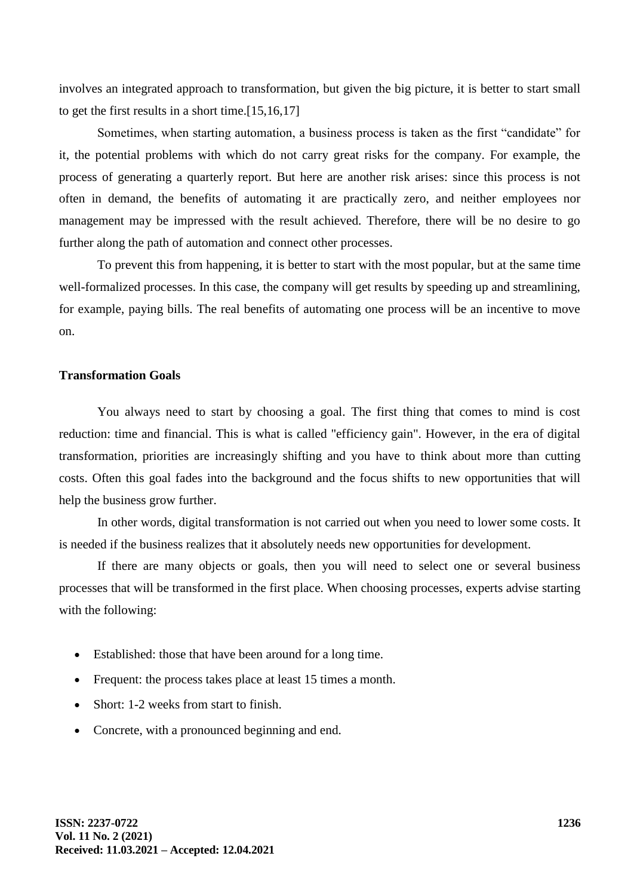involves an integrated approach to transformation, but given the big picture, it is better to start small to get the first results in a short time.[15,16,17]

Sometimes, when starting automation, a business process is taken as the first "candidate" for it, the potential problems with which do not carry great risks for the company. For example, the process of generating a quarterly report. But here are another risk arises: since this process is not often in demand, the benefits of automating it are practically zero, and neither employees nor management may be impressed with the result achieved. Therefore, there will be no desire to go further along the path of automation and connect other processes.

To prevent this from happening, it is better to start with the most popular, but at the same time well-formalized processes. In this case, the company will get results by speeding up and streamlining, for example, paying bills. The real benefits of automating one process will be an incentive to move on.

# **Transformation Goals**

You always need to start by choosing a goal. The first thing that comes to mind is cost reduction: time and financial. This is what is called "efficiency gain". However, in the era of digital transformation, priorities are increasingly shifting and you have to think about more than cutting costs. Often this goal fades into the background and the focus shifts to new opportunities that will help the business grow further.

In other words, digital transformation is not carried out when you need to lower some costs. It is needed if the business realizes that it absolutely needs new opportunities for development.

If there are many objects or goals, then you will need to select one or several business processes that will be transformed in the first place. When choosing processes, experts advise starting with the following:

- Established: those that have been around for a long time.
- Frequent: the process takes place at least 15 times a month.
- Short: 1-2 weeks from start to finish.
- Concrete, with a pronounced beginning and end.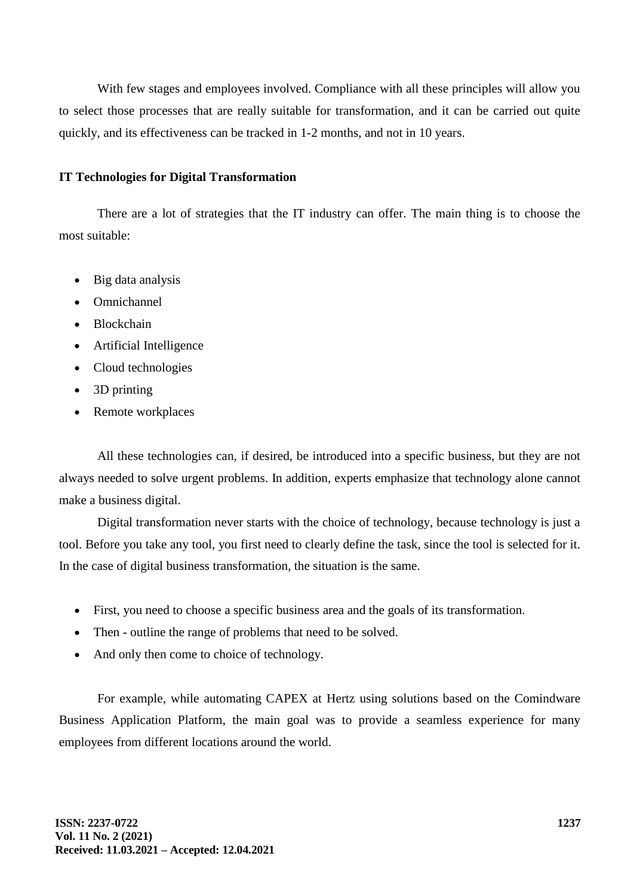With few stages and employees involved. Compliance with all these principles will allow you to select those processes that are really suitable for transformation, and it can be carried out quite quickly, and its effectiveness can be tracked in 1-2 months, and not in 10 years.

# **IT Technologies for Digital Transformation**

There are a lot of strategies that the IT industry can offer. The main thing is to choose the most suitable:

- Big data analysis
- Omnichannel
- Blockchain
- Artificial Intelligence
- Cloud technologies
- 3D printing
- Remote workplaces

All these technologies can, if desired, be introduced into a specific business, but they are not always needed to solve urgent problems. In addition, experts emphasize that technology alone cannot make a business digital.

Digital transformation never starts with the choice of technology, because technology is just a tool. Before you take any tool, you first need to clearly define the task, since the tool is selected for it. In the case of digital business transformation, the situation is the same.

- First, you need to choose a specific business area and the goals of its transformation.
- Then outline the range of problems that need to be solved.
- And only then come to choice of technology.

For example, while automating CAPEX at Hertz using solutions based on the Comindware Business Application Platform, the main goal was to provide a seamless experience for many employees from different locations around the world.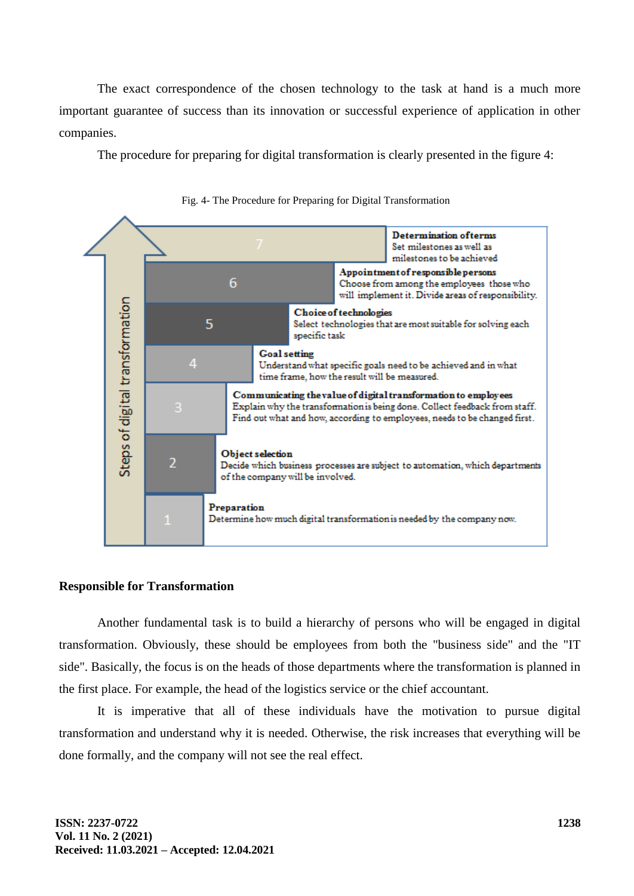The exact correspondence of the chosen technology to the task at hand is a much more important guarantee of success than its innovation or successful experience of application in other companies.

The procedure for preparing for digital transformation is clearly presented in the figure 4:



Fig. 4- The Procedure for Preparing for Digital Transformation

#### **Responsible for Transformation**

Another fundamental task is to build a hierarchy of persons who will be engaged in digital transformation. Obviously, these should be employees from both the "business side" and the "IT side". Basically, the focus is on the heads of those departments where the transformation is planned in the first place. For example, the head of the logistics service or the chief accountant.

It is imperative that all of these individuals have the motivation to pursue digital transformation and understand why it is needed. Otherwise, the risk increases that everything will be done formally, and the company will not see the real effect.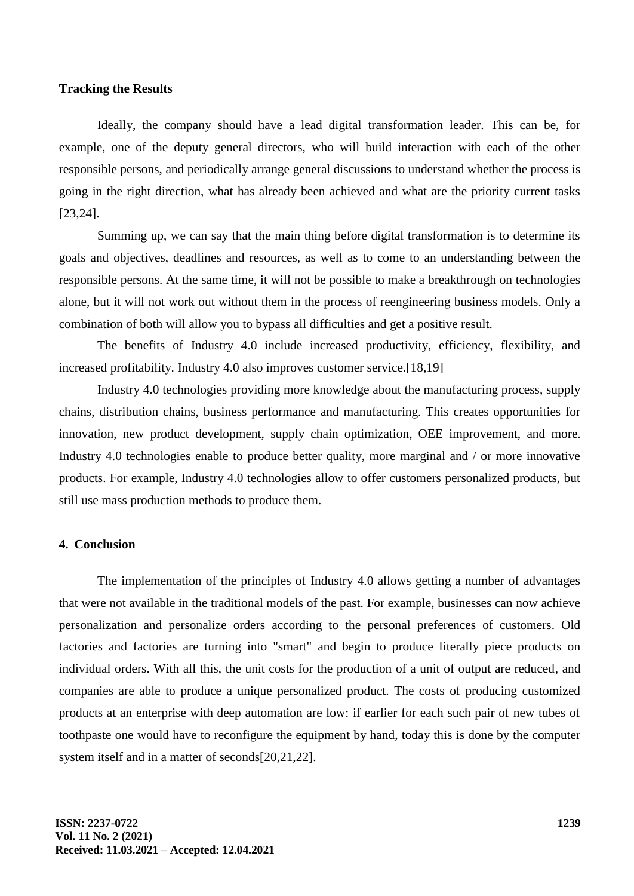#### **Tracking the Results**

Ideally, the company should have a lead digital transformation leader. This can be, for example, one of the deputy general directors, who will build interaction with each of the other responsible persons, and periodically arrange general discussions to understand whether the process is going in the right direction, what has already been achieved and what are the priority current tasks [23,24].

Summing up, we can say that the main thing before digital transformation is to determine its goals and objectives, deadlines and resources, as well as to come to an understanding between the responsible persons. At the same time, it will not be possible to make a breakthrough on technologies alone, but it will not work out without them in the process of reengineering business models. Only a combination of both will allow you to bypass all difficulties and get a positive result.

The benefits of Industry 4.0 include increased productivity, efficiency, flexibility, and increased profitability. Industry 4.0 also improves customer service.[18,19]

Industry 4.0 technologies providing more knowledge about the manufacturing process, supply chains, distribution chains, business performance and manufacturing. This creates opportunities for innovation, new product development, supply chain optimization, OEE improvement, and more. Industry 4.0 technologies enable to produce better quality, more marginal and / or more innovative products. For example, Industry 4.0 technologies allow to offer customers personalized products, but still use mass production methods to produce them.

## **4. Conclusion**

The implementation of the principles of Industry 4.0 allows getting a number of advantages that were not available in the traditional models of the past. For example, businesses can now achieve personalization and personalize orders according to the personal preferences of customers. Old factories and factories are turning into "smart" and begin to produce literally piece products on individual orders. With all this, the unit costs for the production of a unit of output are reduced, and companies are able to produce a unique personalized product. The costs of producing customized products at an enterprise with deep automation are low: if earlier for each such pair of new tubes of toothpaste one would have to reconfigure the equipment by hand, today this is done by the computer system itself and in a matter of seconds[20,21,22].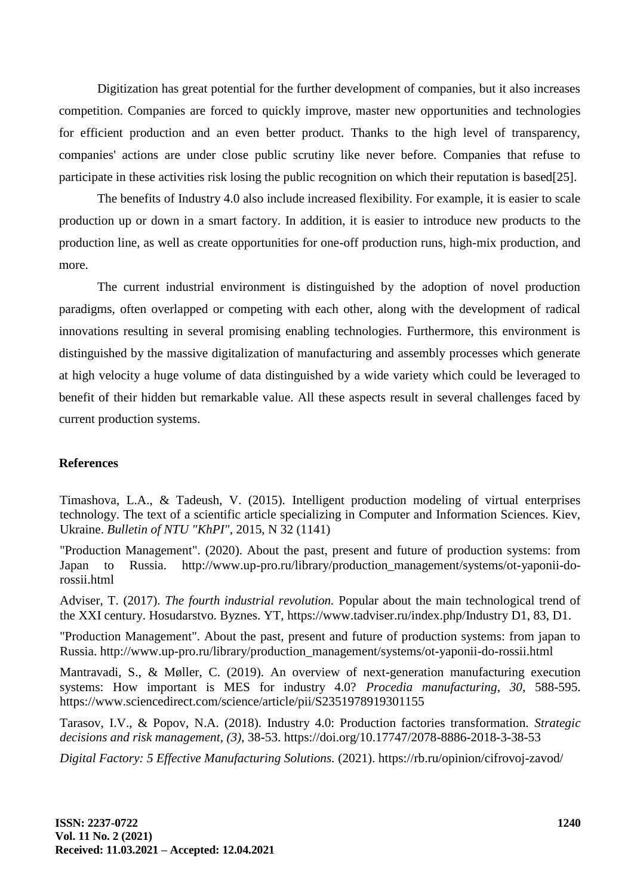Digitization has great potential for the further development of companies, but it also increases competition. Companies are forced to quickly improve, master new opportunities and technologies for efficient production and an even better product. Thanks to the high level of transparency, companies' actions are under close public scrutiny like never before. Companies that refuse to participate in these activities risk losing the public recognition on which their reputation is based[25].

The benefits of Industry 4.0 also include increased flexibility. For example, it is easier to scale production up or down in a smart factory. In addition, it is easier to introduce new products to the production line, as well as create opportunities for one-off production runs, high-mix production, and more.

The current industrial environment is distinguished by the adoption of novel production paradigms, often overlapped or competing with each other, along with the development of radical innovations resulting in several promising enabling technologies. Furthermore, this environment is distinguished by the massive digitalization of manufacturing and assembly processes which generate at high velocity a huge volume of data distinguished by a wide variety which could be leveraged to benefit of their hidden but remarkable value. All these aspects result in several challenges faced by current production systems.

### **References**

Timashova, L.A., & Tadeush, V. (2015). Intelligent production modeling of virtual enterprises technology. The text of a scientific article specializing in Computer and Information Sciences. Kiev, Ukraine. *Bulletin of NTU "KhPI",* 2015, N 32 (1141)

"Production Management". (2020). About the past, present and future of production systems: from Japan to Russia. http://www.up-pro.ru/library/production\_management/systems/ot-yaponii-dorossii.html

Adviser, T. (2017). *The fourth industrial revolution.* Popular about the main technological trend of the XXI century. Hosudarstvo. Byznes. YT, https://www.tadviser.ru/index.php/Industry D1, 83, D1.

"Production Management". About the past, present and future of production systems: from japan to Russia. http://www.up-pro.ru/library/production\_management/systems/ot-yaponii-do-rossii.html

Mantravadi, S., & Møller, C. (2019). An overview of next-generation manufacturing execution systems: How important is MES for industry 4.0? *Procedia manufacturing, 30,* 588-595. https://www.sciencedirect.com/science/article/pii/S2351978919301155

Tarasov, I.V., & Popov, N.A. (2018). Industry 4.0: Production factories transformation. *Strategic decisions and risk management, (3),* 38-53. https://doi.org/10.17747/2078-8886-2018-3-38-53

*Digital Factory: 5 Effective Manufacturing Solutions.* (2021). https://rb.ru/opinion/cifrovoj-zavod/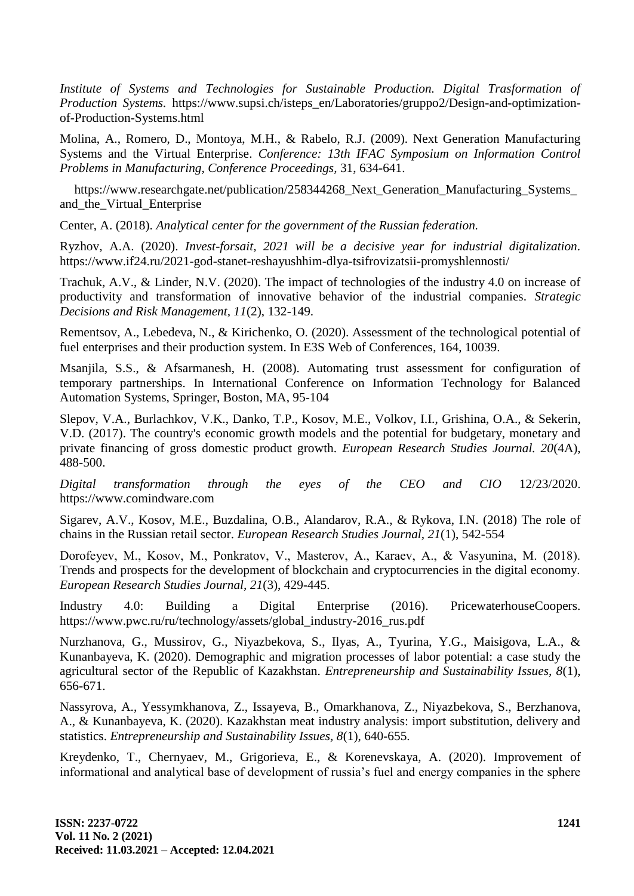*Institute of Systems and Technologies for Sustainable Production. Digital Trasformation of Production Systems.* https://www.supsi.ch/isteps\_en/Laboratories/gruppo2/Design-and-optimizationof-Production-Systems.html

Molina, A., Romero, D., Montoya, M.H., & Rabelo, R.J. (2009). Next Generation Manufacturing Systems and the Virtual Enterprise. *Conference: 13th IFAC Symposium on Information Control Problems in Manufacturing, Conference Proceedings,* 31, 634-641.

https://www.researchgate.net/publication/258344268\_Next\_Generation\_Manufacturing\_Systems\_ and\_the\_Virtual\_Enterprise

Center, A. (2018). *Analytical center for the government of the Russian federation.*

Ryzhov, A.A. (2020). *Invest-forsait, 2021 will be a decisive year for industrial digitalization.*  https://www.if24.ru/2021-god-stanet-reshayushhim-dlya-tsifrovizatsii-promyshlennosti/

Trachuk, A.V., & Linder, N.V. (2020). The impact of technologies of the industry 4.0 on increase of productivity and transformation of innovative behavior of the industrial companies. *Strategic Decisions and Risk Management, 11*(2), 132-149.

Rementsov, A., Lebedeva, N., & Kirichenko, O. (2020). Assessment of the technological potential of fuel enterprises and their production system. In E3S Web of Conferences, 164, 10039.

Msanjila, S.S., & Afsarmanesh, H. (2008). Automating trust assessment for configuration of temporary partnerships. In International Conference on Information Technology for Balanced Automation Systems, Springer, Boston, MA, 95-104

Slepov, V.A., Burlachkov, V.K., Danko, T.P., Kosov, M.E., Volkov, I.I., Grishina, O.A., & Sekerin, V.D. (2017). The country's economic growth models and the potential for budgetary, monetary and private financing of gross domestic product growth. *European Research Studies Journal. 20*(4A), 488-500.

*Digital transformation through the eyes of the CEO and CIO* 12/23/2020. https://www.comindware.com

Sigarev, A.V., Kosov, M.E., Buzdalina, O.B., Alandarov, R.A., & Rykova, I.N. (2018) The role of chains in the Russian retail sector. *European Research Studies Journal, 21*(1), 542-554

Dorofeyev, M., Kоsov, M., Ponkratov, V., Masterov, A., Karaev, A., & Vasyunina, M. (2018). Trends and prospects for the development of blockchain and cryptocurrencies in the digital economy. *European Research Studies Journal, 21*(3), 429-445.

Industry 4.0: Building a Digital Enterprise (2016). PricewaterhouseCoopers. https://www.pwc.ru/ru/technology/assets/global\_industry-2016\_rus.pdf

Nurzhanova, G., Mussirov, G., Niyazbekova, S., Ilyas, A., Tyurina, Y.G., Maisigova, L.A., & Kunanbayeva, K. (2020). Demographic and migration processes of labor potential: a case study the agricultural sector of the Republic of Kazakhstan. *Entrepreneurship and Sustainability Issues, 8*(1), 656-671.

Nassyrova, A., Yessymkhanova, Z., Issayeva, B., Omarkhanova, Z., Niyazbekova, S., Berzhanova, A., & Kunanbayeva, K. (2020). Kazakhstan meat industry analysis: import substitution, delivery and statistics. *Entrepreneurship and Sustainability Issues, 8*(1), 640-655.

Kreydenko, T., Chernyaev, M., Grigorieva, E., & Korenevskaya, A. (2020). Improvement of informational and analytical base of development of russia's fuel and energy companies in the sphere